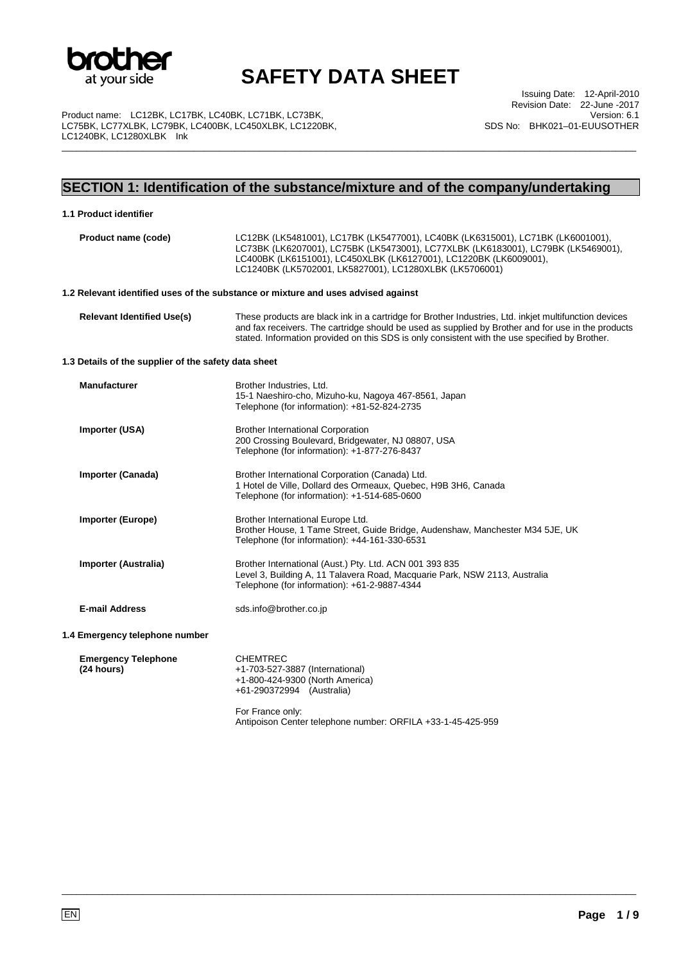

\_\_\_\_\_\_\_\_\_\_\_\_\_\_\_\_\_\_\_\_\_\_\_\_\_\_\_\_\_\_\_\_\_\_\_\_\_\_\_\_\_\_\_\_\_\_\_\_\_\_\_\_\_\_\_\_\_\_\_\_\_\_\_\_\_\_\_\_\_\_\_\_\_\_\_\_\_\_\_\_\_\_\_\_\_\_\_\_\_\_\_\_\_\_\_\_\_\_\_\_\_\_\_\_\_\_\_\_\_\_\_\_\_

Product name: LC12BK, LC17BK, LC40BK, LC71BK, LC73BK, LC75BK, LC77XLBK, LC79BK, LC400BK, LC450XLBK, LC1220BK, LC1240BK, LC1280XLBK Ink

Issuing Date: 12-April-2010 Revision Date: 22-June -2017 Version: 6.1 SDS No: BHK021–01-EUUSOTHER

### **SECTION 1: Identification of the substance/mixture and of the company/undertaking**

**1.1 Product identifier Product name (code)** LC12BK (LK5481001), LC17BK (LK5477001), LC40BK (LK6315001), LC71BK (LK6001001), LC73BK (LK6207001), LC75BK (LK5473001), LC77XLBK (LK6183001), LC79BK (LK5469001), LC400BK (LK6151001), LC450XLBK (LK6127001), LC1220BK (LK6009001), LC1240BK (LK5702001, LK5827001), LC1280XLBK (LK5706001) **1.2 Relevant identified uses of the substance or mixture and uses advised against Relevant Identified Use(s)** These products are black ink in a cartridge for Brother Industries, Ltd. inkjet multifunction devices and fax receivers. The cartridge should be used as supplied by Brother and for use in the products stated. Information provided on this SDS is only consistent with the use specified by Brother. **1.3 Details of the supplier of the safety data sheet Manufacturer** Brother Industries, Ltd. 15-1 Naeshiro-cho, Mizuho-ku, Nagoya 467-8561, Japan Telephone (for information): +81-52-824-2735 **Importer (USA) Brother International Corporation** 200 Crossing Boulevard, Bridgewater, NJ 08807, USA Telephone (for information): +1-877-276-8437 **Importer (Canada) Brother International Corporation (Canada) Ltd.** 1 Hotel de Ville, Dollard des Ormeaux, Quebec, H9B 3H6, Canada Telephone (for information): +1-514-685-0600 **Importer (Europe) Brother International Europe Ltd.** Brother House, 1 Tame Street, Guide Bridge, Audenshaw, Manchester M34 5JE, UK Telephone (for information): +44-161-330-6531 **Importer (Australia)** Brother International (Aust.) Pty. Ltd. ACN 001 393 835 Level 3, Building A, 11 Talavera Road, Macquarie Park, NSW 2113, Australia Telephone (for information): +61-2-9887-4344 **E-mail Address** sds.info@brother.co.jp **1.4 Emergency telephone number Emergency Telephone (24 hours)**  CHEMTREC +1-703-527-3887 (International) +1-800-424-9300 (North America) +61-290372994 (Australia) For France only: Antipoison Center telephone number: ORFILA +33-1-45-425-959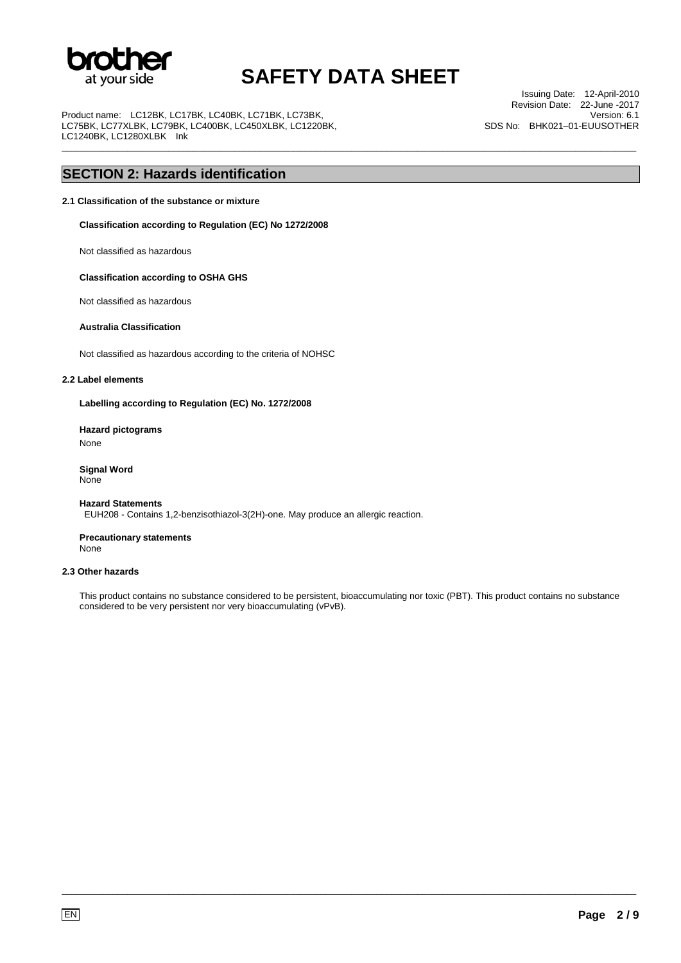

\_\_\_\_\_\_\_\_\_\_\_\_\_\_\_\_\_\_\_\_\_\_\_\_\_\_\_\_\_\_\_\_\_\_\_\_\_\_\_\_\_\_\_\_\_\_\_\_\_\_\_\_\_\_\_\_\_\_\_\_\_\_\_\_\_\_\_\_\_\_\_\_\_\_\_\_\_\_\_\_\_\_\_\_\_\_\_\_\_\_\_\_\_\_\_\_\_\_\_\_\_\_\_\_\_\_\_\_\_\_\_\_\_

Product name: LC12BK, LC17BK, LC40BK, LC71BK, LC73BK, LC75BK, LC77XLBK, LC79BK, LC400BK, LC450XLBK, LC1220BK, LC1240BK, LC1280XLBK Ink

Issuing Date: 12-April-2010 Revision Date: 22-June -2017 Version: 6.1 SDS No: BHK021–01-EUUSOTHER

### **SECTION 2: Hazards identification**

### **2.1 Classification of the substance or mixture**

**Classification according to Regulation (EC) No 1272/2008** 

Not classified as hazardous

#### **Classification according to OSHA GHS**

Not classified as hazardous

#### **Australia Classification**

Not classified as hazardous according to the criteria of NOHSC

#### **2.2 Label elements**

**Labelling according to Regulation (EC) No. 1272/2008** 

**Hazard pictograms**  None

**Signal Word** None

#### **Hazard Statements** EUH208 - Contains 1,2-benzisothiazol-3(2H)-one. May produce an allergic reaction.

**Precautionary statements** None

### **2.3 Other hazards**

This product contains no substance considered to be persistent, bioaccumulating nor toxic (PBT). This product contains no substance considered to be very persistent nor very bioaccumulating (vPvB).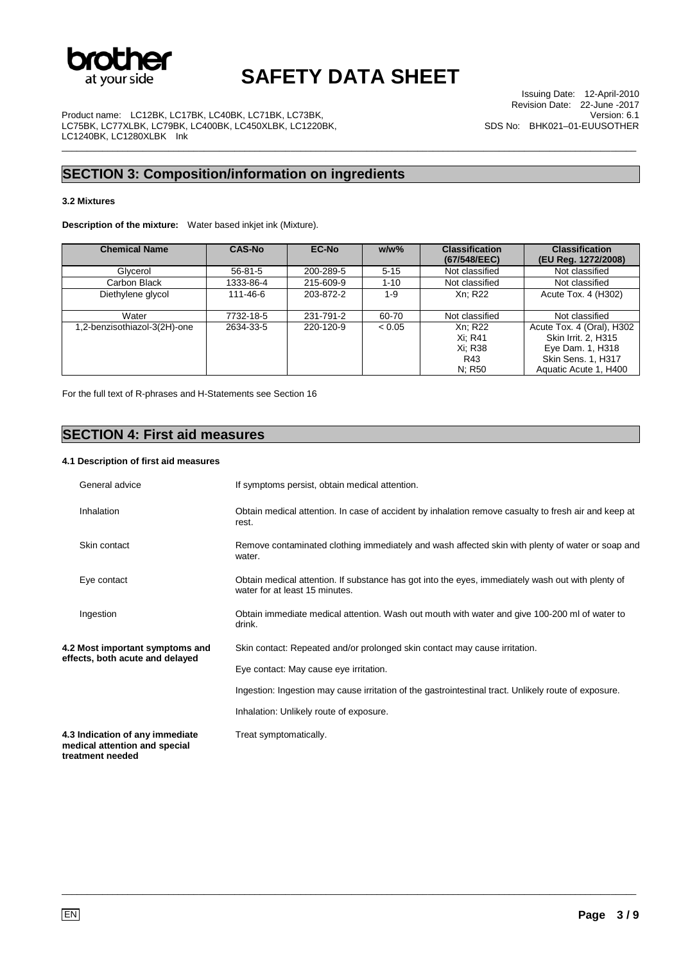

\_\_\_\_\_\_\_\_\_\_\_\_\_\_\_\_\_\_\_\_\_\_\_\_\_\_\_\_\_\_\_\_\_\_\_\_\_\_\_\_\_\_\_\_\_\_\_\_\_\_\_\_\_\_\_\_\_\_\_\_\_\_\_\_\_\_\_\_\_\_\_\_\_\_\_\_\_\_\_\_\_\_\_\_\_\_\_\_\_\_\_\_\_\_\_\_\_\_\_\_\_\_\_\_\_\_\_\_\_\_\_\_\_

Issuing Date: 12-April-2010 Revision Date: 22-June -2017 Version: 6.1 SDS No: BHK021–01-EUUSOTHER

Product name: LC12BK, LC17BK, LC40BK, LC71BK, LC73BK, LC75BK, LC77XLBK, LC79BK, LC400BK, LC450XLBK, LC1220BK, LC1240BK, LC1280XLBK Ink

### **SECTION 3: Composition/information on ingredients**

### **3.2 Mixtures**

**Description of the mixture:** Water based inkjet ink (Mixture).

| <b>Chemical Name</b>         | <b>CAS-No</b> | <b>EC-No</b> | $w/w$ %  | <b>Classification</b><br>(67/548/EEC)          | <b>Classification</b><br>(EU Reg. 1272/2008)                                                                        |
|------------------------------|---------------|--------------|----------|------------------------------------------------|---------------------------------------------------------------------------------------------------------------------|
| Glycerol                     | $56 - 81 - 5$ | 200-289-5    | $5 - 15$ | Not classified                                 | Not classified                                                                                                      |
| Carbon Black                 | 1333-86-4     | 215-609-9    | $1 - 10$ | Not classified                                 | Not classified                                                                                                      |
| Diethylene glycol            | 111-46-6      | 203-872-2    | $1 - 9$  | Xn: R22                                        | Acute Tox. 4 (H302)                                                                                                 |
| Water                        | 7732-18-5     | 231-791-2    | 60-70    | Not classified                                 | Not classified                                                                                                      |
| 1,2-benzisothiazol-3(2H)-one | 2634-33-5     | 220-120-9    | < 0.05   | Xn: R22<br>Xi: R41<br>Xi: R38<br>R43<br>N; R50 | Acute Tox. 4 (Oral), H302<br>Skin Irrit. 2. H315<br>Eye Dam. 1, H318<br>Skin Sens. 1. H317<br>Aquatic Acute 1, H400 |

For the full text of R-phrases and H-Statements see Section 16

### **SECTION 4: First aid measures**

### **4.1 Description of first aid measures**

| General advice                                                                       | If symptoms persist, obtain medical attention.                                                                                      |  |  |
|--------------------------------------------------------------------------------------|-------------------------------------------------------------------------------------------------------------------------------------|--|--|
| Inhalation                                                                           | Obtain medical attention. In case of accident by inhalation remove casualty to fresh air and keep at<br>rest.                       |  |  |
| Skin contact                                                                         | Remove contaminated clothing immediately and wash affected skin with plenty of water or soap and<br>water.                          |  |  |
| Eye contact                                                                          | Obtain medical attention. If substance has got into the eyes, immediately wash out with plenty of<br>water for at least 15 minutes. |  |  |
| Ingestion                                                                            | Obtain immediate medical attention. Wash out mouth with water and give 100-200 ml of water to<br>drink.                             |  |  |
| 4.2 Most important symptoms and                                                      | Skin contact: Repeated and/or prolonged skin contact may cause irritation.                                                          |  |  |
| effects, both acute and delayed                                                      | Eye contact: May cause eye irritation.                                                                                              |  |  |
|                                                                                      | Ingestion: Ingestion may cause irritation of the gastrointestinal tract. Unlikely route of exposure.                                |  |  |
|                                                                                      | Inhalation: Unlikely route of exposure.                                                                                             |  |  |
| 4.3 Indication of any immediate<br>medical attention and special<br>treatment needed | Treat symptomatically.                                                                                                              |  |  |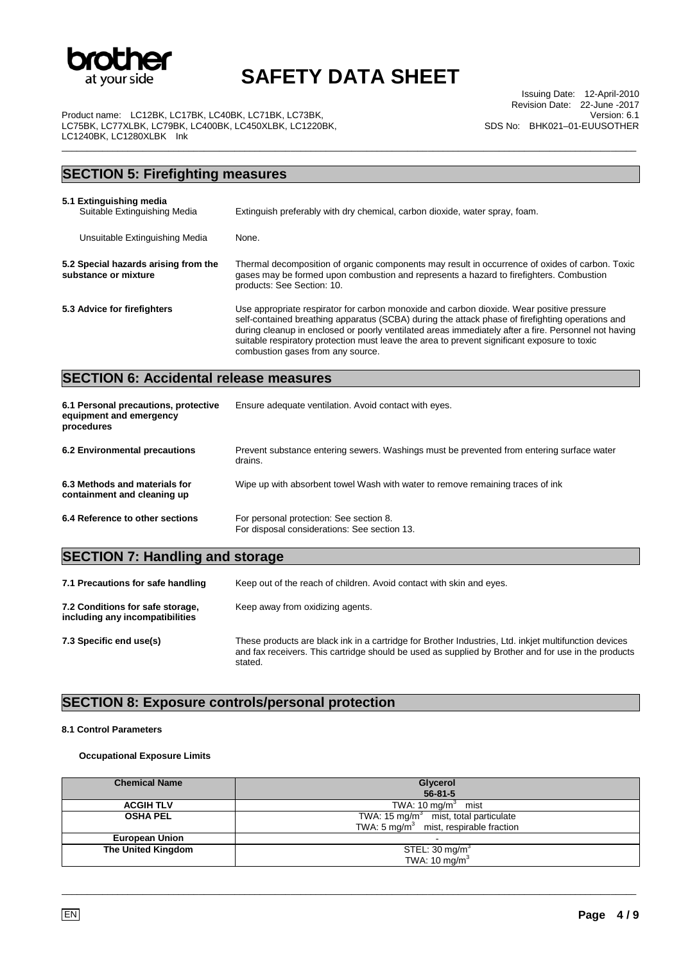

\_\_\_\_\_\_\_\_\_\_\_\_\_\_\_\_\_\_\_\_\_\_\_\_\_\_\_\_\_\_\_\_\_\_\_\_\_\_\_\_\_\_\_\_\_\_\_\_\_\_\_\_\_\_\_\_\_\_\_\_\_\_\_\_\_\_\_\_\_\_\_\_\_\_\_\_\_\_\_\_\_\_\_\_\_\_\_\_\_\_\_\_\_\_\_\_\_\_\_\_\_\_\_\_\_\_\_\_\_\_\_\_\_

Issuing Date: 12-April-2010 Revision Date: 22-June -2017 Version: 6.1 SDS No: BHK021–01-EUUSOTHER

Product name: LC12BK, LC17BK, LC40BK, LC71BK, LC73BK, LC75BK, LC77XLBK, LC79BK, LC400BK, LC450XLBK, LC1220BK, LC1240BK, LC1280XLBK Ink

## **SECTION 5: Firefighting measures 5.1 Extinguishing media**  Extinguish preferably with dry chemical, carbon dioxide, water spray, foam. Unsuitable Extinguishing Media None. **5.2 Special hazards arising from the substance or mixture**  Thermal decomposition of organic components may result in occurrence of oxides of carbon. Toxic gases may be formed upon combustion and represents a hazard to firefighters. Combustion products: See Section: 10. **5.3 Advice for firefighters** Use appropriate respirator for carbon monoxide and carbon dioxide. Wear positive pressure self-contained breathing apparatus (SCBA) during the attack phase of firefighting operations and during cleanup in enclosed or poorly ventilated areas immediately after a fire. Personnel not having suitable respiratory protection must leave the area to prevent significant exposure to toxic combustion gases from any source. **SECTION 6: Accidental release measures**

| 6.1 Personal precautions, protective<br>equipment and emergency<br>procedures | Ensure adequate ventilation. Avoid contact with eyes.                                                |
|-------------------------------------------------------------------------------|------------------------------------------------------------------------------------------------------|
| 6.2 Environmental precautions                                                 | Prevent substance entering sewers. Washings must be prevented from entering surface water<br>drains. |
| 6.3 Methods and materials for<br>containment and cleaning up                  | Wipe up with absorbent towel Wash with water to remove remaining traces of ink                       |
| 6.4 Reference to other sections                                               | For personal protection: See section 8.<br>For disposal considerations: See section 13.              |

### **SECTION 7: Handling and storage**

| 7.1 Precautions for safe handling                                   | Keep out of the reach of children. Avoid contact with skin and eyes.                                                                                                                                                    |
|---------------------------------------------------------------------|-------------------------------------------------------------------------------------------------------------------------------------------------------------------------------------------------------------------------|
| 7.2 Conditions for safe storage,<br>including any incompatibilities | Keep away from oxidizing agents.                                                                                                                                                                                        |
| 7.3 Specific end use(s)                                             | These products are black ink in a cartridge for Brother Industries, Ltd. inkjet multifunction devices<br>and fax receivers. This cartridge should be used as supplied by Brother and for use in the products<br>stated. |

## **SECTION 8: Exposure controls/personal protection**

### **8.1 Control Parameters**

#### **Occupational Exposure Limits**

| <b>Chemical Name</b>  | Glycerol<br>$56 - 81 - 5$                                                                        |  |
|-----------------------|--------------------------------------------------------------------------------------------------|--|
| <b>ACGIH TLV</b>      | TWA: 10 mg/m <sup>3</sup> mist                                                                   |  |
| <b>OSHA PEL</b>       | TWA: 15 $mg/m3$ mist, total particulate<br>TWA: 5 mg/ $\overline{m}^3$ mist, respirable fraction |  |
| <b>European Union</b> |                                                                                                  |  |
| The United Kingdom    | STEL: $30 \text{ mg/m}^3$<br>TWA: $10 \text{ mg/m}^3$                                            |  |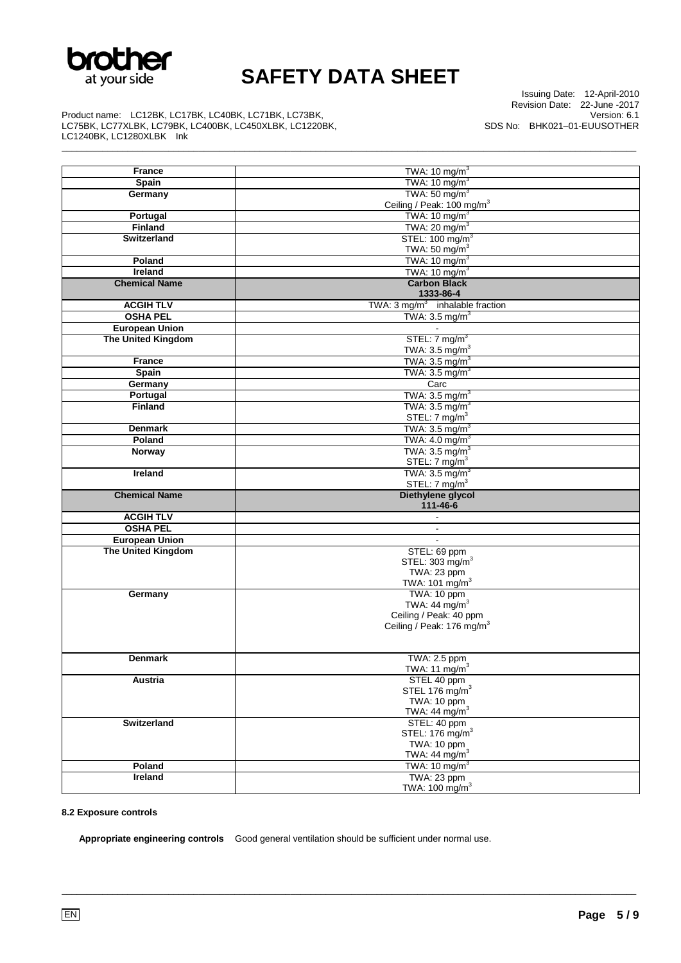

\_\_\_\_\_\_\_\_\_\_\_\_\_\_\_\_\_\_\_\_\_\_\_\_\_\_\_\_\_\_\_\_\_\_\_\_\_\_\_\_\_\_\_\_\_\_\_\_\_\_\_\_\_\_\_\_\_\_\_\_\_\_\_\_\_\_\_\_\_\_\_\_\_\_\_\_\_\_\_\_\_\_\_\_\_\_\_\_\_\_\_\_\_\_\_\_\_\_\_\_\_\_\_\_\_\_\_\_\_\_\_\_\_

Issuing Date: 12-April-2010 Revision Date: 22-June -2017 Version: 6.1 SDS No: BHK021–01-EUUSOTHER

Product name: LC12BK, LC17BK, LC40BK, LC71BK, LC73BK, LC75BK, LC77XLBK, LC79BK, LC400BK, LC450XLBK, LC1220BK, LC1240BK, LC1280XLBK Ink

| <b>France</b>             | TWA: $10 \text{ mg/m}^3$                    |
|---------------------------|---------------------------------------------|
| Spain                     | TWA: $10 \text{ mg/m}^3$                    |
| Germany                   | TWA: $50 \text{ mg/m}^3$                    |
|                           | Ceiling / Peak: 100 mg/m <sup>3</sup>       |
| Portugal                  | TWA: $10 \text{ mg/m}^3$                    |
| <b>Finland</b>            | TWA: $20 \text{ mg/m}^3$                    |
| <b>Switzerland</b>        | STEL: 100 mg/m <sup>3</sup>                 |
| Poland                    | TWA: 50 mg/ $m3$<br>TWA: 10 mg/m $3$        |
| <b>Ireland</b>            | TWA: 10 mg/m <sup>3</sup>                   |
| <b>Chemical Name</b>      | <b>Carbon Black</b>                         |
|                           | 1333-86-4                                   |
| <b>ACGIH TLV</b>          | TWA: $3 \text{ mg/m}^3$ inhalable fraction  |
| <b>OSHA PEL</b>           | TWA: $3.5 \text{ mg/m}^3$                   |
| <b>European Union</b>     |                                             |
| <b>The United Kingdom</b> | STEL: $7 \text{ mg/m}^3$                    |
|                           | TWA: $3.5 \text{ mg/m}^3$                   |
| <b>France</b>             | TWA: $3.5 \text{ mg/m}^3$                   |
| Spain                     | TWA: $3.5 \text{ mg/m}^3$                   |
| Germany                   | Carc                                        |
| Portugal                  | TWA: $3.5 \text{ mg/m}^3$                   |
| <b>Finland</b>            | TWA: $3.5 \text{ mg/m}^3$                   |
|                           | STEL: $7 \text{ mg/m}^3$                    |
| <b>Denmark</b>            | TWA: $3.5 \text{ mg/m}^3$                   |
| Poland                    | TWA: $4.0 \text{ mg/m}^3$                   |
| Norway                    | TWA: $3.5 \text{ mg/m}^3$                   |
|                           | STEL: $7 \text{ mg/m}^3$                    |
| Ireland                   | TWA: $3.5 \text{ mg/m}^3$                   |
|                           | STEL: $7 \text{ mg/m}^3$                    |
|                           |                                             |
| <b>Chemical Name</b>      | Diethylene glycol                           |
|                           | 111-46-6<br>$\sim$                          |
| <b>ACGIH TLV</b>          | $\blacksquare$                              |
| <b>OSHA PEL</b>           |                                             |
| <b>European Union</b>     |                                             |
| <b>The United Kingdom</b> | STEL: 69 ppm<br>STEL: 303 mg/m <sup>3</sup> |
|                           | TWA: 23 ppm                                 |
|                           | TWA: 101 mg/m <sup>3</sup>                  |
| Germany                   | TWA: 10 ppm                                 |
|                           | TWA: $44 \text{ mg/m}^3$                    |
|                           | Ceiling / Peak: 40 ppm                      |
|                           | Ceiling / Peak: 176 mg/m <sup>3</sup>       |
|                           |                                             |
|                           |                                             |
| <b>Denmark</b>            | TWA: 2.5 ppm                                |
|                           | TWA: 11 mg/m <sup>3</sup>                   |
| Austria                   | STEL 40 ppm                                 |
|                           | STEL 176 mg/m <sup>3</sup><br>TWA: 10 ppm   |
|                           | TWA: 44 mg/m $3$                            |
| <b>Switzerland</b>        | STEL: 40 ppm                                |
|                           | STEL: 176 mg/m <sup>3</sup>                 |
|                           | TWA: 10 ppm                                 |
|                           | TWA: $44 \text{ mg/m}^3$                    |
| Poland                    | TWA: $10 \text{ mg/m}^3$                    |
| Ireland                   | TWA: 23 ppm<br>TWA: 100 mg/m <sup>3</sup>   |

### **8.2 Exposure controls**

**Appropriate engineering controls** Good general ventilation should be sufficient under normal use.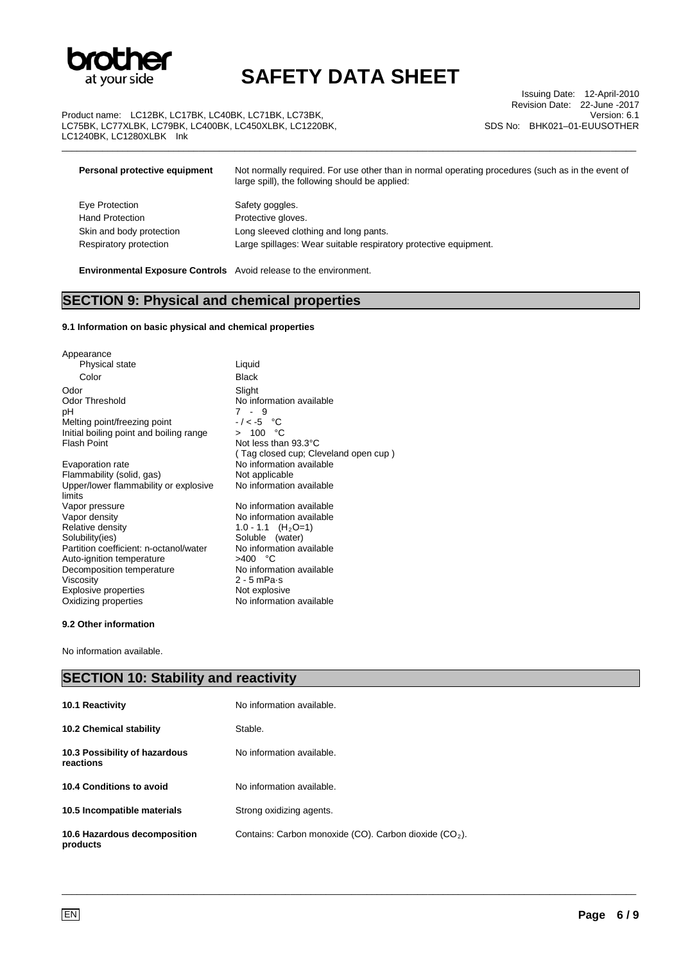

Product name: LC12BK, LC17BK, LC40BK, LC71BK, LC73BK, LC75BK, LC77XLBK, LC79BK, LC400BK, LC450XLBK, LC1220BK, LC1240BK, LC1280XLBK Ink

Issuing Date: 12-April-2010 Revision Date: 22-June -2017 Version: 6.1 SDS No: BHK021–01-EUUSOTHER

| Personal protective equipment | Not normally required. For use other than in normal operating procedures (such as in the event of<br>large spill), the following should be applied: |  |
|-------------------------------|-----------------------------------------------------------------------------------------------------------------------------------------------------|--|
| Eye Protection                | Safety goggles.                                                                                                                                     |  |
| <b>Hand Protection</b>        | Protective gloves.                                                                                                                                  |  |
| Skin and body protection      | Long sleeved clothing and long pants.                                                                                                               |  |
| Respiratory protection        | Large spillages: Wear suitable respiratory protective equipment.                                                                                    |  |
|                               |                                                                                                                                                     |  |

\_\_\_\_\_\_\_\_\_\_\_\_\_\_\_\_\_\_\_\_\_\_\_\_\_\_\_\_\_\_\_\_\_\_\_\_\_\_\_\_\_\_\_\_\_\_\_\_\_\_\_\_\_\_\_\_\_\_\_\_\_\_\_\_\_\_\_\_\_\_\_\_\_\_\_\_\_\_\_\_\_\_\_\_\_\_\_\_\_\_\_\_\_\_\_\_\_\_\_\_\_\_\_\_\_\_\_\_\_\_\_\_\_

**Environmental Exposure Controls** Avoid release to the environment.

## **SECTION 9: Physical and chemical properties**

### **9.1 Information on basic physical and chemical properties**

| Appearance                              |                      |
|-----------------------------------------|----------------------|
| Physical state                          | Liquid               |
| Color                                   | Black                |
| Odor                                    | Slight               |
| Odor Threshold                          | No information       |
| рH                                      | 7-9                  |
| Melting point/freezing point            | $-/-5$ °C            |
| Initial boiling point and boiling range | 100 $\degree$ C<br>↘ |
| <b>Flash Point</b>                      | Not less than 9      |
|                                         | ( Tag closed cเ      |
| Evaporation rate                        | No information       |
| Flammability (solid, gas)               | Not applicable       |
| Upper/lower flammability or explosive   | No information       |
| lim its                                 |                      |

on available  $n93.3$ °C cup; Cleveland open cup ) on available<br><sup>ble</sup> ion available No information available No information available  $1.0 - 1.1$  (H<sub>2</sub>O=1) Soluble (water) No information available  $>400$  °C No information available  $2 - 5$  mPa $\cdot$ s Not explosive No information available

#### **9.2 Other information**

No information available.

## **SECTION 10: Stability and reactivity**

| <b>10.1 Reactivity</b>                     | No information available.                                          |
|--------------------------------------------|--------------------------------------------------------------------|
| <b>10.2 Chemical stability</b>             | Stable.                                                            |
| 10.3 Possibility of hazardous<br>reactions | No information available.                                          |
| 10.4 Conditions to avoid                   | No information available.                                          |
| 10.5 Incompatible materials                | Strong oxidizing agents.                                           |
| 10.6 Hazardous decomposition<br>products   | Contains: Carbon monoxide (CO). Carbon dioxide (CO <sub>2</sub> ). |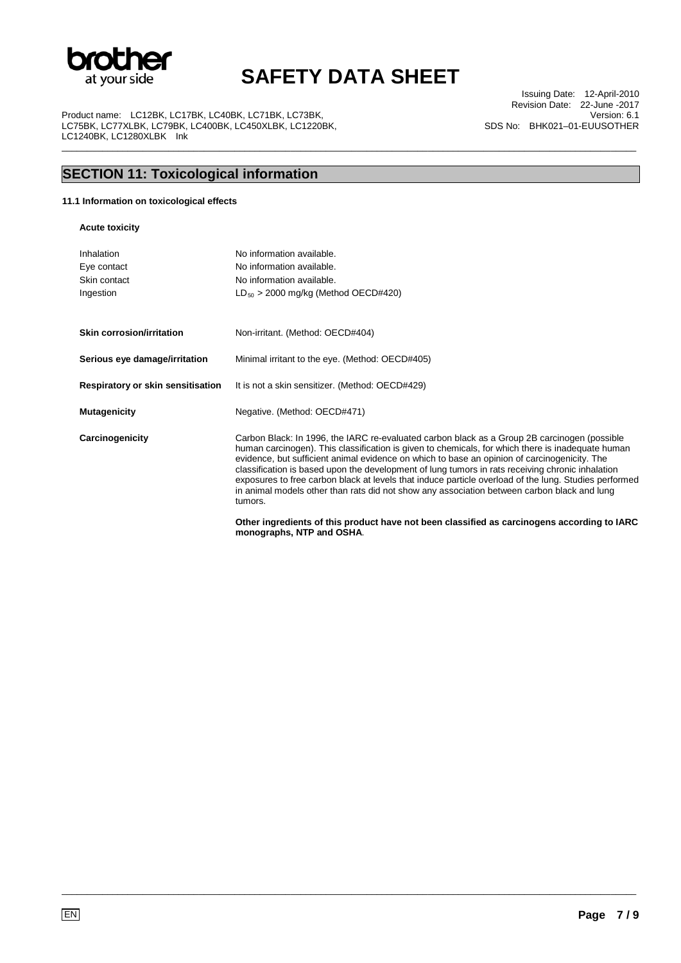

\_\_\_\_\_\_\_\_\_\_\_\_\_\_\_\_\_\_\_\_\_\_\_\_\_\_\_\_\_\_\_\_\_\_\_\_\_\_\_\_\_\_\_\_\_\_\_\_\_\_\_\_\_\_\_\_\_\_\_\_\_\_\_\_\_\_\_\_\_\_\_\_\_\_\_\_\_\_\_\_\_\_\_\_\_\_\_\_\_\_\_\_\_\_\_\_\_\_\_\_\_\_\_\_\_\_\_\_\_\_\_\_\_

Product name: LC12BK, LC17BK, LC40BK, LC71BK, LC73BK, LC75BK, LC77XLBK, LC79BK, LC400BK, LC450XLBK, LC1220BK, LC1240BK, LC1280XLBK Ink

Issuing Date: 12-April-2010 Revision Date: 22-June -2017 Version: 6.1 SDS No: BHK021–01-EUUSOTHER

# **SECTION 11: Toxicological information**

### **11.1 Information on toxicological effects**

**Acute toxicity** 

|                                                        | Other ingredients of this product have not been classified as carcinogens according to IARC<br>monographs, NTP and OSHA.                                                                                                                                                                                                                                                                                                                                                                                                                                                                                                 |
|--------------------------------------------------------|--------------------------------------------------------------------------------------------------------------------------------------------------------------------------------------------------------------------------------------------------------------------------------------------------------------------------------------------------------------------------------------------------------------------------------------------------------------------------------------------------------------------------------------------------------------------------------------------------------------------------|
| Carcinogenicity                                        | Carbon Black: In 1996, the IARC re-evaluated carbon black as a Group 2B carcinogen (possible<br>human carcinogen). This classification is given to chemicals, for which there is inadequate human<br>evidence, but sufficient animal evidence on which to base an opinion of carcinogenicity. The<br>classification is based upon the development of lung tumors in rats receiving chronic inhalation<br>exposures to free carbon black at levels that induce particle overload of the lung. Studies performed<br>in animal models other than rats did not show any association between carbon black and lung<br>tumors. |
| <b>Mutagenicity</b>                                    | Negative. (Method: OECD#471)                                                                                                                                                                                                                                                                                                                                                                                                                                                                                                                                                                                             |
| Respiratory or skin sensitisation                      | It is not a skin sensitizer. (Method: OECD#429)                                                                                                                                                                                                                                                                                                                                                                                                                                                                                                                                                                          |
| Serious eye damage/irritation                          | Minimal irritant to the eye. (Method: OECD#405)                                                                                                                                                                                                                                                                                                                                                                                                                                                                                                                                                                          |
| <b>Skin corrosion/irritation</b>                       | Non-irritant. (Method: OECD#404)                                                                                                                                                                                                                                                                                                                                                                                                                                                                                                                                                                                         |
| Inhalation<br>Eye contact<br>Skin contact<br>Ingestion | No information available.<br>No information available.<br>No information available.<br>$LD_{50}$ > 2000 mg/kg (Method OECD#420)                                                                                                                                                                                                                                                                                                                                                                                                                                                                                          |
|                                                        |                                                                                                                                                                                                                                                                                                                                                                                                                                                                                                                                                                                                                          |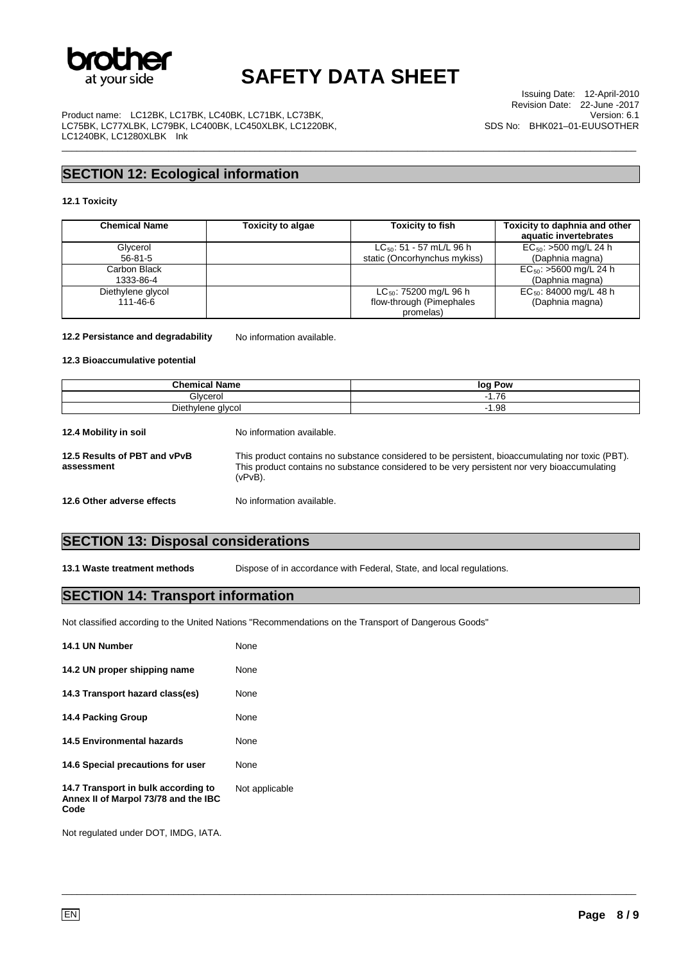

\_\_\_\_\_\_\_\_\_\_\_\_\_\_\_\_\_\_\_\_\_\_\_\_\_\_\_\_\_\_\_\_\_\_\_\_\_\_\_\_\_\_\_\_\_\_\_\_\_\_\_\_\_\_\_\_\_\_\_\_\_\_\_\_\_\_\_\_\_\_\_\_\_\_\_\_\_\_\_\_\_\_\_\_\_\_\_\_\_\_\_\_\_\_\_\_\_\_\_\_\_\_\_\_\_\_\_\_\_\_\_\_\_

Product name: LC12BK, LC17BK, LC40BK, LC71BK, LC73BK, LC75BK, LC77XLBK, LC79BK, LC400BK, LC450XLBK, LC1220BK, LC1240BK, LC1280XLBK Ink

Issuing Date: 12-April-2010 Revision Date: 22-June -2017 Version: 6.1 SDS No: BHK021–01-EUUSOTHER

# **SECTION 12: Ecological information**

### **12.1 Toxicity**

| <b>Chemical Name</b> | <b>Toxicity to algae</b> | <b>Toxicity to fish</b>            | Toxicity to daphnia and other<br>aquatic invertebrates |
|----------------------|--------------------------|------------------------------------|--------------------------------------------------------|
| Glycerol             |                          | $LC_{50}$ : 51 - 57 mL/L 96 h      | $EC_{50}$ : >500 mg/L 24 h                             |
| $56 - 81 - 5$        |                          | static (Oncorhynchus mykiss)       | (Daphnia magna)                                        |
| Carbon Black         |                          |                                    | $EC_{50}$ : >5600 mg/L 24 h                            |
| 1333-86-4            |                          |                                    | (Daphnia magna)                                        |
| Diethylene glycol    |                          | LC <sub>50</sub> : 75200 mg/L 96 h | $EC_{50}$ : 84000 mg/L 48 h                            |
| 111-46-6             |                          | flow-through (Pimephales           | (Daphnia magna)                                        |
|                      |                          | promelas)                          |                                                        |

12.2 Persistance and degradability No information available.

#### **12.3 Bioaccumulative potential**

| <b>Chemical Name</b><br>Glvcerol           |                                                                                                                                                                                                                | log Pow<br>$-1.76$ |
|--------------------------------------------|----------------------------------------------------------------------------------------------------------------------------------------------------------------------------------------------------------------|--------------------|
|                                            |                                                                                                                                                                                                                |                    |
| 12.4 Mobility in soil                      | No information available.                                                                                                                                                                                      |                    |
| 12.5 Results of PBT and vPvB<br>assessment | This product contains no substance considered to be persistent, bioaccumulating nor toxic (PBT).<br>This product contains no substance considered to be very persistent nor very bioaccumulating<br>$(vPvB)$ . |                    |
| 12.6 Other adverse effects                 | No information available.                                                                                                                                                                                      |                    |

### **SECTION 13: Disposal considerations**

**13.1 Waste treatment methods** Dispose of in accordance with Federal, State, and local regulations.

\_\_\_\_\_\_\_\_\_\_\_\_\_\_\_\_\_\_\_\_\_\_\_\_\_\_\_\_\_\_\_\_\_\_\_\_\_\_\_\_\_\_\_\_\_\_\_\_\_\_\_\_\_\_\_\_\_\_\_\_\_\_\_\_\_\_\_\_\_\_\_\_\_\_\_\_\_\_\_\_\_\_\_\_\_\_\_\_\_\_\_\_\_\_\_\_\_\_\_\_\_\_\_\_\_\_\_\_\_\_\_\_\_

# **SECTION 14: Transport information**

Not classified according to the United Nations "Recommendations on the Transport of Dangerous Goods"

| 14.1 UN Number                                                                      | None           |
|-------------------------------------------------------------------------------------|----------------|
| 14.2 UN proper shipping name                                                        | None           |
| 14.3 Transport hazard class(es)                                                     | None           |
| 14.4 Packing Group                                                                  | None           |
| 14.5 Environmental hazards                                                          | None           |
| 14.6 Special precautions for user                                                   | None           |
| 14.7 Transport in bulk according to<br>Annex II of Marpol 73/78 and the IBC<br>Code | Not applicable |

Not regulated under DOT, IMDG, IATA.